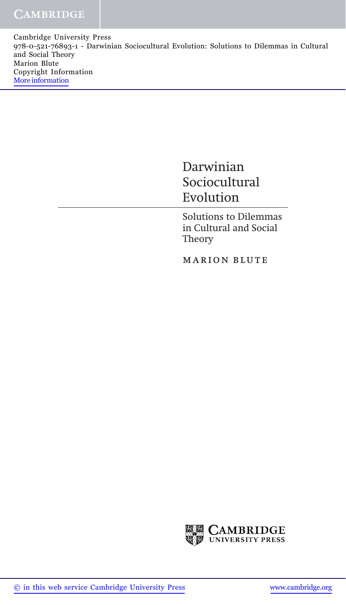Cambridge University Press 978-0-521-76893-1 - Darwinian Sociocultural Evolution: Solutions to Dilemmas in Cultural and Social Theory Marion Blute Copyright Information [More information](http://www.cambridge.org/9780521768931)

## Darwinian Sociocultural Evolution

Solutions to Dilemmas in Cultural and Social Theory

marion blute